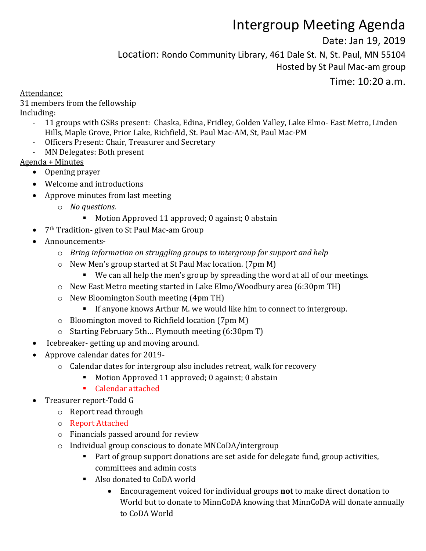## Intergroup Meeting Agenda

Date: Jan 19, 2019

Location: Rondo Community Library, 461 Dale St. N, St. Paul, MN 55104

Hosted by St Paul Mac-am group

Time: 10:20 a.m.

Attendance:

31 members from the fellowship Including:

- 11 groups with GSRs present: Chaska, Edina, Fridley, Golden Valley, Lake Elmo- East Metro, Linden Hills, Maple Grove, Prior Lake, Richfield, St. Paul Mac-AM, St, Paul Mac-PM
- Officers Present: Chair, Treasurer and Secretary
- MN Delegates: Both present

Agenda + Minutes

- Opening prayer
- Welcome and introductions
- Approve minutes from last meeting
	- o *No questions.* 
		- Motion Approved 11 approved; 0 against; 0 abstain
- 7<sup>th</sup> Tradition- given to St Paul Mac-am Group
- Announcements
	- o *Bring information on struggling groups to intergroup for support and help*
	- o New Men's group started at St Paul Mac location. (7pm M)
		- We can all help the men's group by spreading the word at all of our meetings.
	- o New East Metro meeting started in Lake Elmo/Woodbury area (6:30pm TH)
	- o New Bloomington South meeting (4pm TH)
		- **If anyone knows Arthur M. we would like him to connect to intergroup.**
	- o Bloomington moved to Richfield location (7pm M)
	- o Starting February 5th… Plymouth meeting (6:30pm T)
- Icebreaker- getting up and moving around.
- Approve calendar dates for 2019
	- o Calendar dates for intergroup also includes retreat, walk for recovery
		- Motion Approved 11 approved; 0 against; 0 abstain
		- Calendar attached
- Treasurer report-Todd G
	- o Report read through
	- o Report Attached
	- o Financials passed around for review
	- o Individual group conscious to donate MNCoDA/intergroup
		- Part of group support donations are set aside for delegate fund, group activities, committees and admin costs
		- Also donated to CoDA world
			- Encouragement voiced for individual groups **not** to make direct donation to World but to donate to MinnCoDA knowing that MinnCoDA will donate annually to CoDA World